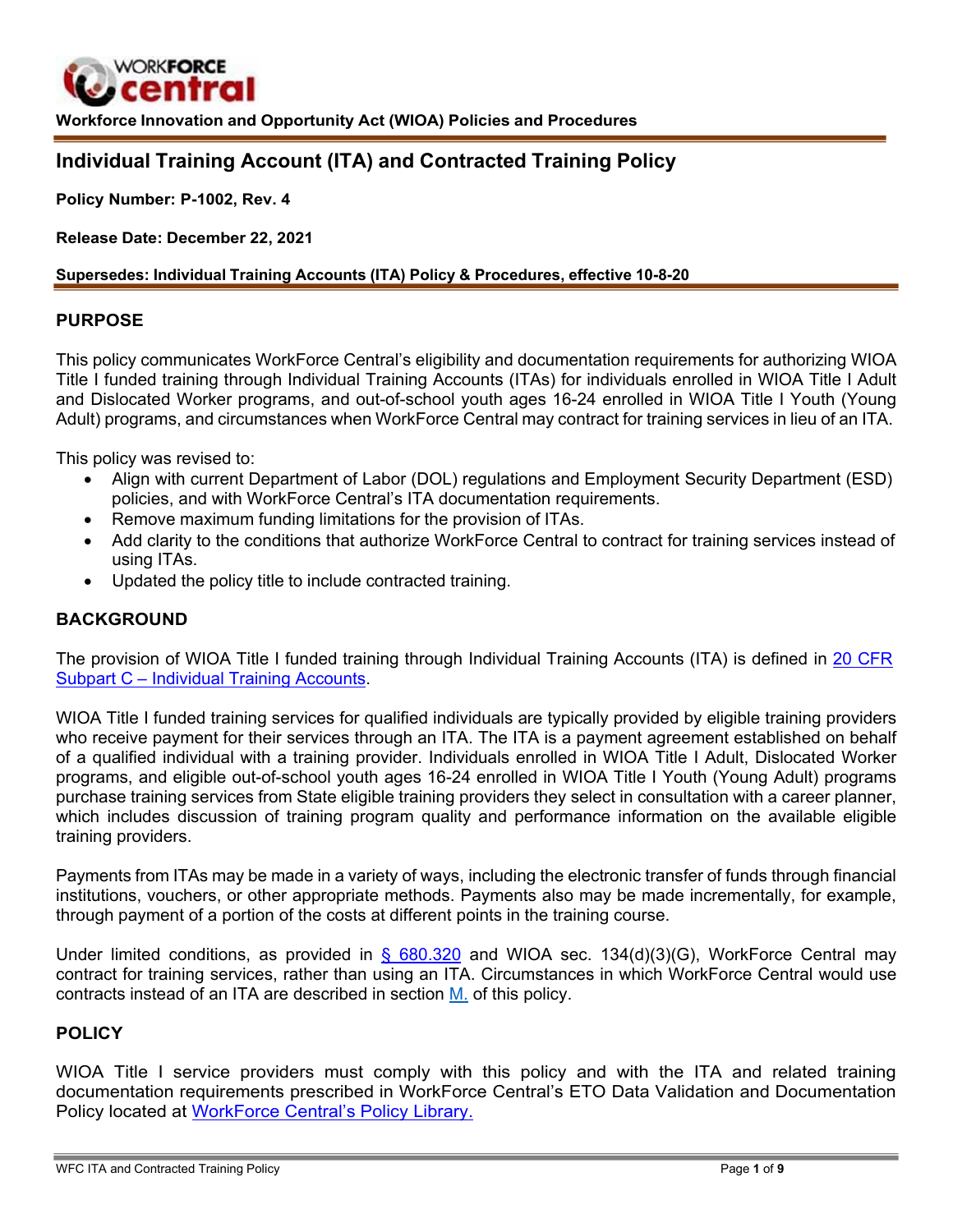

**Workforce Innovation and Opportunity Act (WIOA) Policies and Procedures**

# **Individual Training Account (ITA) and Contracted Training Policy**

**Policy Number: P-1002, Rev. 4**

**Release Date: December 22, 2021**

#### **Supersedes: Individual Training Accounts (ITA) Policy & Procedures, effective 10-8-20**

#### **PURPOSE**

This policy communicates WorkForce Central's eligibility and documentation requirements for authorizing WIOA Title I funded training through Individual Training Accounts (ITAs) for individuals enrolled in WIOA Title I Adult and Dislocated Worker programs, and out-of-school youth ages 16-24 enrolled in WIOA Title I Youth (Young Adult) programs, and circumstances when WorkForce Central may contract for training services in lieu of an ITA.

This policy was revised to:

- Align with current Department of Labor (DOL) regulations and Employment Security Department (ESD) policies, and with WorkForce Central's ITA documentation requirements.
- Remove maximum funding limitations for the provision of ITAs.
- Add clarity to the conditions that authorize WorkForce Central to contract for training services instead of using ITAs.
- Updated the policy title to include contracted training.

#### **BACKGROUND**

The provision of WIOA Title I funded training through Individual Training Accounts (ITA) is defined in 20 [CFR](https://www.ecfr.gov/current/title-20/chapter-V/part-680/subpart-C) [Subpart C – Individual Training Accounts.](https://www.ecfr.gov/current/title-20/chapter-V/part-680/subpart-C)

WIOA Title I funded training services for qualified individuals are typically provided by eligible training providers who receive payment for their services through an ITA. The ITA is a payment agreement established on behalf of a qualified individual with a training provider. Individuals enrolled in WIOA Title I Adult, Dislocated Worker programs, and eligible out-of-school youth ages 16-24 enrolled in WIOA Title I Youth (Young Adult) programs purchase training services from State eligible training providers they select in consultation with a career planner, which includes discussion of training program quality and performance information on the available eligible training providers.

Payments from ITAs may be made in a variety of ways, including the electronic transfer of funds through financial institutions, vouchers, or other appropriate methods. Payments also may be made incrementally, for example, through payment of a portion of the costs at different points in the training course.

Under limited conditions, as provided in  $\S$  680.320 and WIOA sec. 134(d)(3)(G), WorkForce Central may contract for training services, rather than using an ITA. Circumstances in which WorkForce Central would use contracts instead of an ITA are described in section [M.](#page-7-0) of this policy.

#### **POLICY**

WIOA Title I service providers must comply with this policy and with the ITA and related training documentation requirements prescribed in WorkForce Central's ETO Data Validation and Documentation Policy located at [WorkForce Central's Policy Library.](https://workforce-central.org/about/policies/)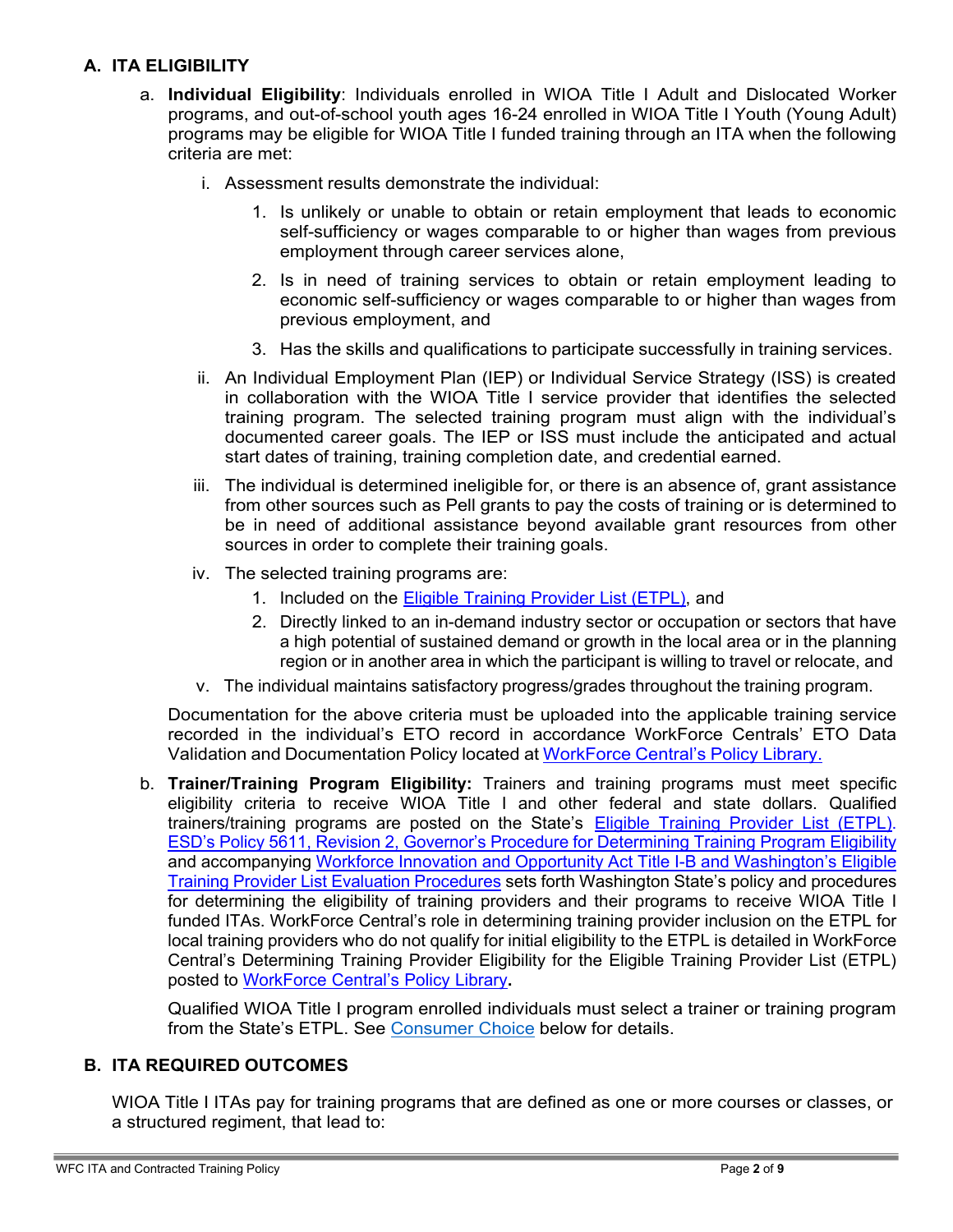### **A. ITA ELIGIBILITY**

- a. **Individual Eligibility**: Individuals enrolled in WIOA Title I Adult and Dislocated Worker programs, and out-of-school youth ages 16-24 enrolled in WIOA Title I Youth (Young Adult) programs may be eligible for WIOA Title I funded training through an ITA when the following criteria are met:
	- i. Assessment results demonstrate the individual:
		- 1. Is unlikely or unable to obtain or retain employment that leads to economic self-sufficiency or wages comparable to or higher than wages from previous employment through career services alone,
		- 2. Is in need of training services to obtain or retain employment leading to economic self-sufficiency or wages comparable to or higher than wages from previous employment, and
		- 3. Has the skills and qualifications to participate successfully in training services.
	- ii. An Individual Employment Plan (IEP) or Individual Service Strategy (ISS) is created in collaboration with the WIOA Title I service provider that identifies the selected training program. The selected training program must align with the individual's documented career goals. The IEP or ISS must include the anticipated and actual start dates of training, training completion date, and credential earned.
	- iii. The individual is determined ineligible for, or there is an absence of, grant assistance from other sources such as Pell grants to pay the costs of training or is determined to be in need of additional assistance beyond available grant resources from other sources in order to complete their training goals.
	- iv. The selected training programs are:
		- 1. Included on the Eligible Training [Provider](https://www.wtb.wa.gov/research-resources/etpl/) List (ETPL), and
		- 2. Directly linked to an in-demand industry sector or occupation or sectors that have a high potential of sustained demand or growth in the local area or in the planning region or in another area in which the participant is willing to travel or relocate, and
	- v. The individual maintains satisfactory progress/grades throughout the training program.

Documentation for the above criteria must be uploaded into the applicable training service recorded in the individual's ETO record in accordance WorkForce Centrals' ETO Data Validation and Documentation Policy located at [WorkForce](https://workforce-central.org/about/policies/) Central's Policy Library.

b. **Trainer/Training Program Eligibility:** Trainers and training programs must meet specific eligibility criteria to receive WIOA Title I and other federal and state dollars. Qualified trainers/training programs are posted on the State's [Eligible Training Provider List \(ETPL\).](https://www.wtb.wa.gov/research-resources/etpl/) ESD's Policy 5611, Revision 2, Governor's Procedure for [Determining](https://storemultisites.blob.core.windows.net/media/WPC/adm/policy/5611-2.pdf) Training Program Eligibility and accompanying Workforce Innovation and Opportunity Act Title I-B and [Washington's](https://www.wtb.wa.gov/wp-content/uploads/2021/06/2021-ETP-State-Policy-final-060221.pdf) Eligible Training Provider List Evaluation [Procedures](https://www.wtb.wa.gov/wp-content/uploads/2021/06/2021-ETP-State-Policy-final-060221.pdf) sets forth Washington State's policy and procedures for determining the eligibility of training providers and their programs to receive WIOA Title I funded ITAs. WorkForce Central's role in determining training provider inclusion on the ETPL for local training providers who do not qualify for initial eligibility to the ETPL is detailed in WorkForce Central's Determining Training Provider Eligibility for the Eligible Training Provider List (ETPL) posted to [WorkForce](https://workforce-central.org/about/policies/) Central's Policy Library**.**

Qualified WIOA Title I program enrolled individuals must select a trainer or training program from the State's ETPL. See [Co](#page-4-0)[nsumer](#page-4-1) Choice below for details.

#### **B. ITA REQUIRED OUTCOMES**

WIOA Title I ITAs pay for training programs that are defined as one or more courses or classes, or a structured regiment, that lead to: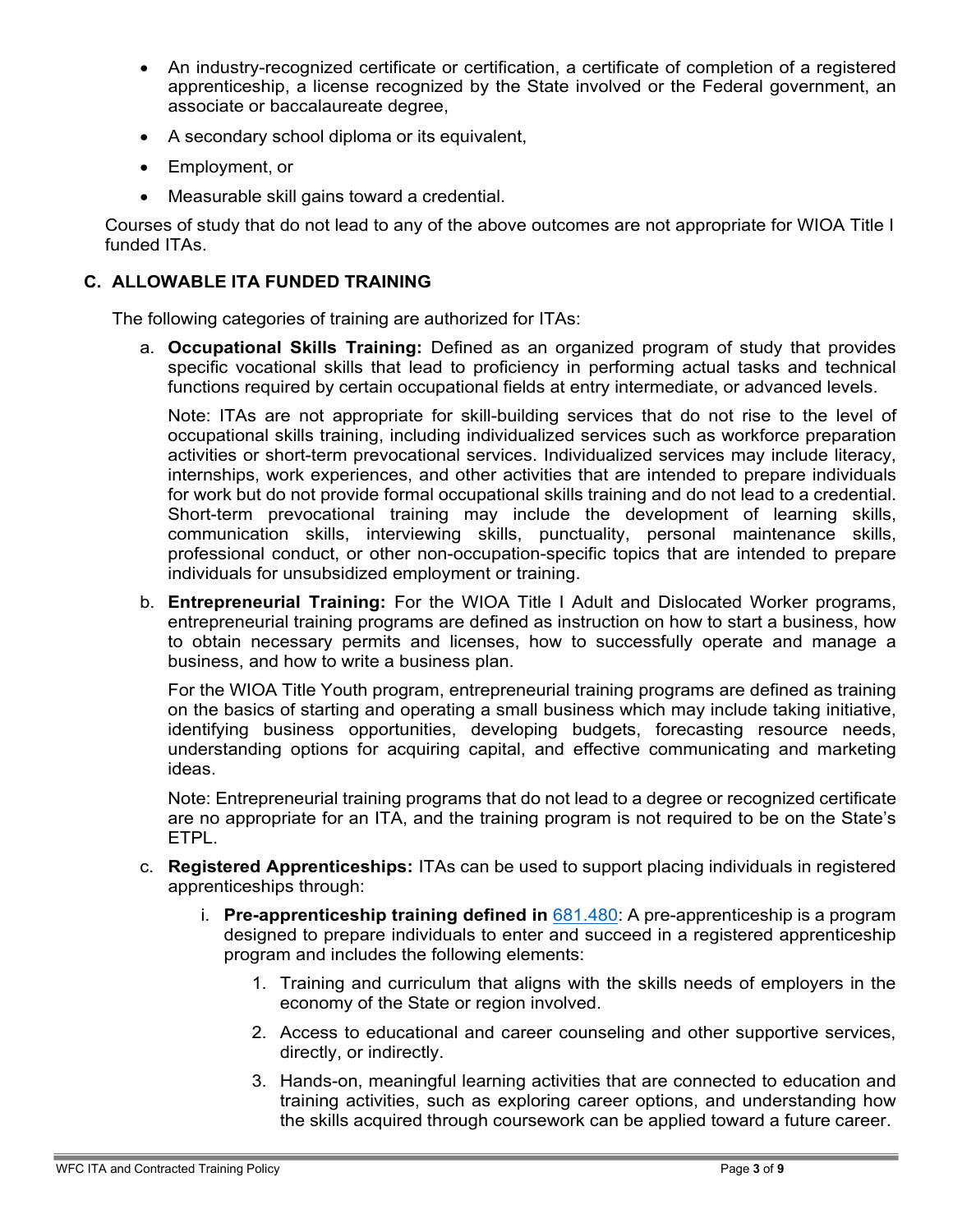- An industry-recognized certificate or certification, a certificate of completion of a registered apprenticeship, a license recognized by the State involved or the Federal government, an associate or baccalaureate degree,
- A secondary school diploma or its equivalent,
- Employment, or
- Measurable skill gains toward a credential.

Courses of study that do not lead to any of the above outcomes are not appropriate for WIOA Title I funded ITAs.

### **C. ALLOWABLE ITA FUNDED TRAINING**

The following categories of training are authorized for ITAs:

a. **Occupational Skills Training:** Defined as an organized program of study that provides specific vocational skills that lead to proficiency in performing actual tasks and technical functions required by certain occupational fields at entry intermediate, or advanced levels.

Note: ITAs are not appropriate for skill-building services that do not rise to the level of occupational skills training, including individualized services such as workforce preparation activities or short-term prevocational services. Individualized services may include literacy, internships, work experiences, and other activities that are intended to prepare individuals for work but do not provide formal occupational skills training and do not lead to a credential. Short-term prevocational training may include the development of learning skills, communication skills, interviewing skills, punctuality, personal maintenance skills, professional conduct, or other non-occupation-specific topics that are intended to prepare individuals for unsubsidized employment or training.

b. **Entrepreneurial Training:** For the WIOA Title I Adult and Dislocated Worker programs, entrepreneurial training programs are defined as instruction on how to start a business, how to obtain necessary permits and licenses, how to successfully operate and manage a business, and how to write a business plan.

For the WIOA Title Youth program, entrepreneurial training programs are defined as training on the basics of starting and operating a small business which may include taking initiative, identifying business opportunities, developing budgets, forecasting resource needs, understanding options for acquiring capital, and effective communicating and marketing ideas.

Note: Entrepreneurial training programs that do not lead to a degree or recognized certificate are no appropriate for an ITA, and the training program is not required to be on the State's ETPL.

- c. **Registered Apprenticeships:** ITAs can be used to support placing individuals in registered apprenticeships through:
	- i. **Pre-apprenticeship training defined in** [681.480:](https://www.ecfr.gov/current/title-20/chapter-V/part-681/subpart-C/section-681.480) A pre-apprenticeship is a program designed to prepare individuals to enter and succeed in a registered apprenticeship program and includes the following elements:
		- 1. Training and curriculum that aligns with the skills needs of employers in the economy of the State or region involved.
		- 2. Access to educational and career counseling and other supportive services, directly, or indirectly.
		- 3. Hands-on, meaningful learning activities that are connected to education and training activities, such as exploring career options, and understanding how the skills acquired through coursework can be applied toward a future career.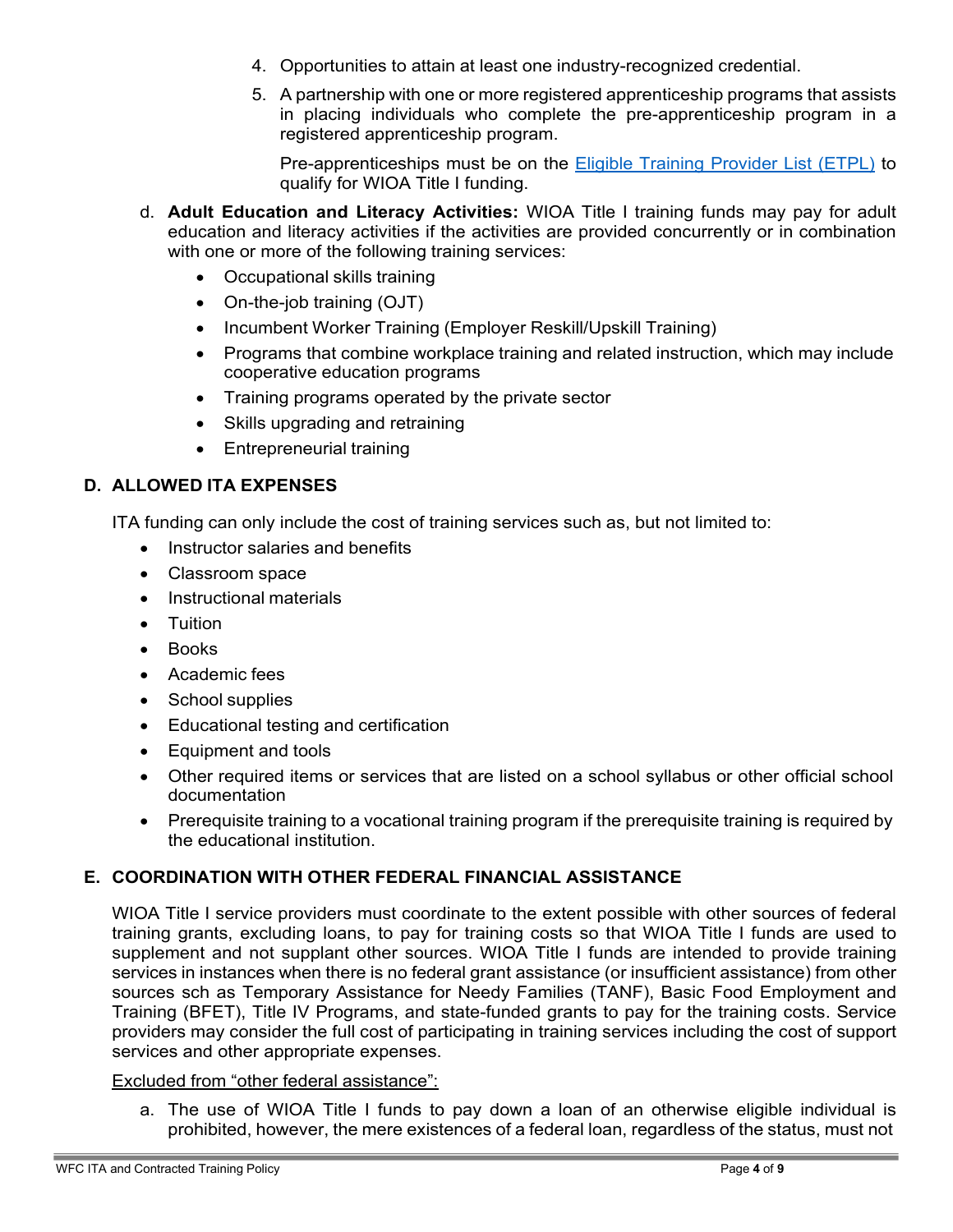- 4. Opportunities to attain at least one industry-recognized credential.
- 5. A partnership with one or more registered apprenticeship programs that assists in placing individuals who complete the pre-apprenticeship program in a registered apprenticeship program.

Pre-apprenticeships must be on the [Eligible Training Provider List \(ETPL\)](https://www.wtb.wa.gov/research-resources/etpl/) to qualify for WIOA Title I funding.

- d. **Adult Education and Literacy Activities:** WIOA Title I training funds may pay for adult education and literacy activities if the activities are provided concurrently or in combination with one or more of the following training services:
	- Occupational skills training
	- On-the-job training (OJT)
	- Incumbent Worker Training (Employer Reskill/Upskill Training)
	- Programs that combine workplace training and related instruction, which may include cooperative education programs
	- Training programs operated by the private sector
	- Skills upgrading and retraining
	- Entrepreneurial training

### **D. ALLOWED ITA EXPENSES**

ITA funding can only include the cost of training services such as, but not limited to:

- Instructor salaries and benefits
- Classroom space
- Instructional materials
- Tuition
- Books
- Academic fees
- School supplies
- Educational testing and certification
- Equipment and tools
- Other required items or services that are listed on a school syllabus or other official school documentation
- Prerequisite training to a vocational training program if the prerequisite training is required by the educational institution.

#### **E. COORDINATION WITH OTHER FEDERAL FINANCIAL ASSISTANCE**

WIOA Title I service providers must coordinate to the extent possible with other sources of federal training grants, excluding loans, to pay for training costs so that WIOA Title I funds are used to supplement and not supplant other sources. WIOA Title I funds are intended to provide training services in instances when there is no federal grant assistance (or insufficient assistance) from other sources sch as Temporary Assistance for Needy Families (TANF), Basic Food Employment and Training (BFET), Title IV Programs, and state-funded grants to pay for the training costs. Service providers may consider the full cost of participating in training services including the cost of support services and other appropriate expenses.

#### Excluded from "other federal assistance":

a. The use of WIOA Title I funds to pay down a loan of an otherwise eligible individual is prohibited, however, the mere existences of a federal loan, regardless of the status, must not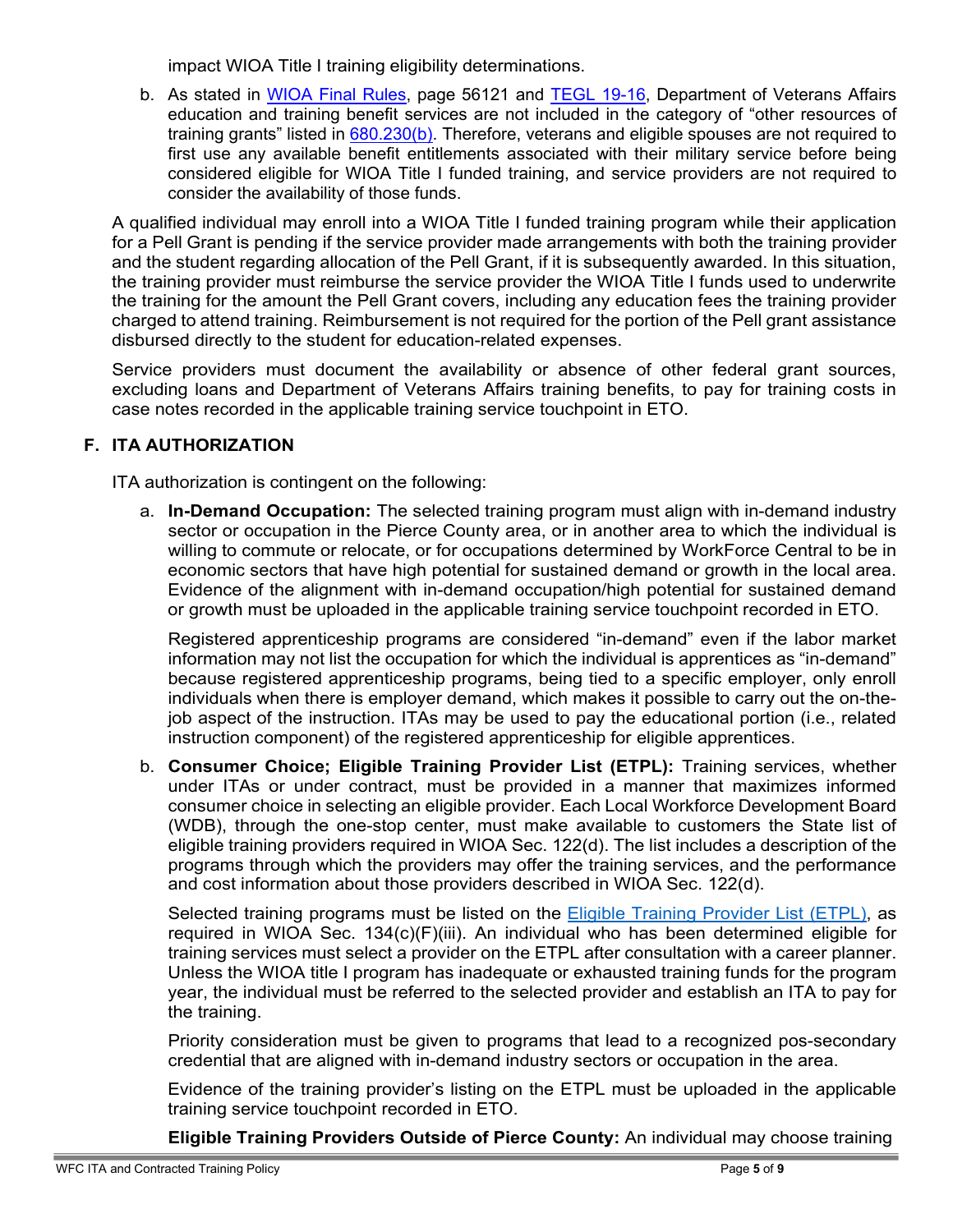impact WIOA Title I training eligibility determinations.

<span id="page-4-0"></span>b. As stated in [WIOA Final Rules,](https://www.federalregister.gov/documents/2016/08/19/2016-15975/workforce-innovation-and-opportunity-act) page 56121 and [TEGL 19-16,](https://wdr.doleta.gov/directives/attach/TEGL/TEGL_19-16.pdf) Department of Veterans Affairs education and training benefit services are not included in the category of "other resources of training grants" listed in [680.230\(b\).](https://www.ecfr.gov/current/title-20/chapter-V/part-680) Therefore, veterans and eligible spouses are not required to first use any available benefit entitlements associated with their military service before being considered eligible for WIOA Title I funded training, and service providers are not required to consider the availability of those funds.

A qualified individual may enroll into a WIOA Title I funded training program while their application for a Pell Grant is pending if the service provider made arrangements with both the training provider and the student regarding allocation of the Pell Grant, if it is subsequently awarded. In this situation, the training provider must reimburse the service provider the WIOA Title I funds used to underwrite the training for the amount the Pell Grant covers, including any education fees the training provider charged to attend training. Reimbursement is not required for the portion of the Pell grant assistance disbursed directly to the student for education-related expenses.

Service providers must document the availability or absence of other federal grant sources, excluding loans and Department of Veterans Affairs training benefits, to pay for training costs in case notes recorded in the applicable training service touchpoint in ETO.

# **F. ITA AUTHORIZATION**

ITA authorization is contingent on the following:

a. **In-Demand Occupation:** The selected training program must align with in-demand industry sector or occupation in the Pierce County area, or in another area to which the individual is willing to commute or relocate, or for occupations determined by WorkForce Central to be in economic sectors that have high potential for sustained demand or growth in the local area. Evidence of the alignment with in-demand occupation/high potential for sustained demand or growth must be uploaded in the applicable training service touchpoint recorded in ETO.

Registered apprenticeship programs are considered "in-demand" even if the labor market information may not list the occupation for which the individual is apprentices as "in-demand" because registered apprenticeship programs, being tied to a specific employer, only enroll individuals when there is employer demand, which makes it possible to carry out the on-thejob aspect of the instruction. ITAs may be used to pay the educational portion (i.e., related instruction component) of the registered apprenticeship for eligible apprentices.

<span id="page-4-1"></span>b. **Consumer Choice; Eligible Training Provider List (ETPL):** Training services, whether under ITAs or under contract, must be provided in a manner that maximizes informed consumer choice in selecting an eligible provider. Each Local Workforce Development Board (WDB), through the one-stop center, must make available to customers the State list of eligible training providers required in WIOA Sec. 122(d). The list includes a description of the programs through which the providers may offer the training services, and the performance and cost information about those providers described in WIOA Sec. 122(d).

Selected training programs must be listed on the **Eligible Training Provider List (ETPL)**, as required in WIOA Sec. 134(c)(F)(iii). An individual who has been determined eligible for training services must select a provider on the ETPL after consultation with a career planner. Unless the WIOA title I program has inadequate or exhausted training funds for the program year, the individual must be referred to the selected provider and establish an ITA to pay for the training.

Priority consideration must be given to programs that lead to a recognized pos-secondary credential that are aligned with in-demand industry sectors or occupation in the area.

Evidence of the training provider's listing on the ETPL must be uploaded in the applicable training service touchpoint recorded in ETO.

**Eligible Training Providers Outside of Pierce County:** An individual may choose training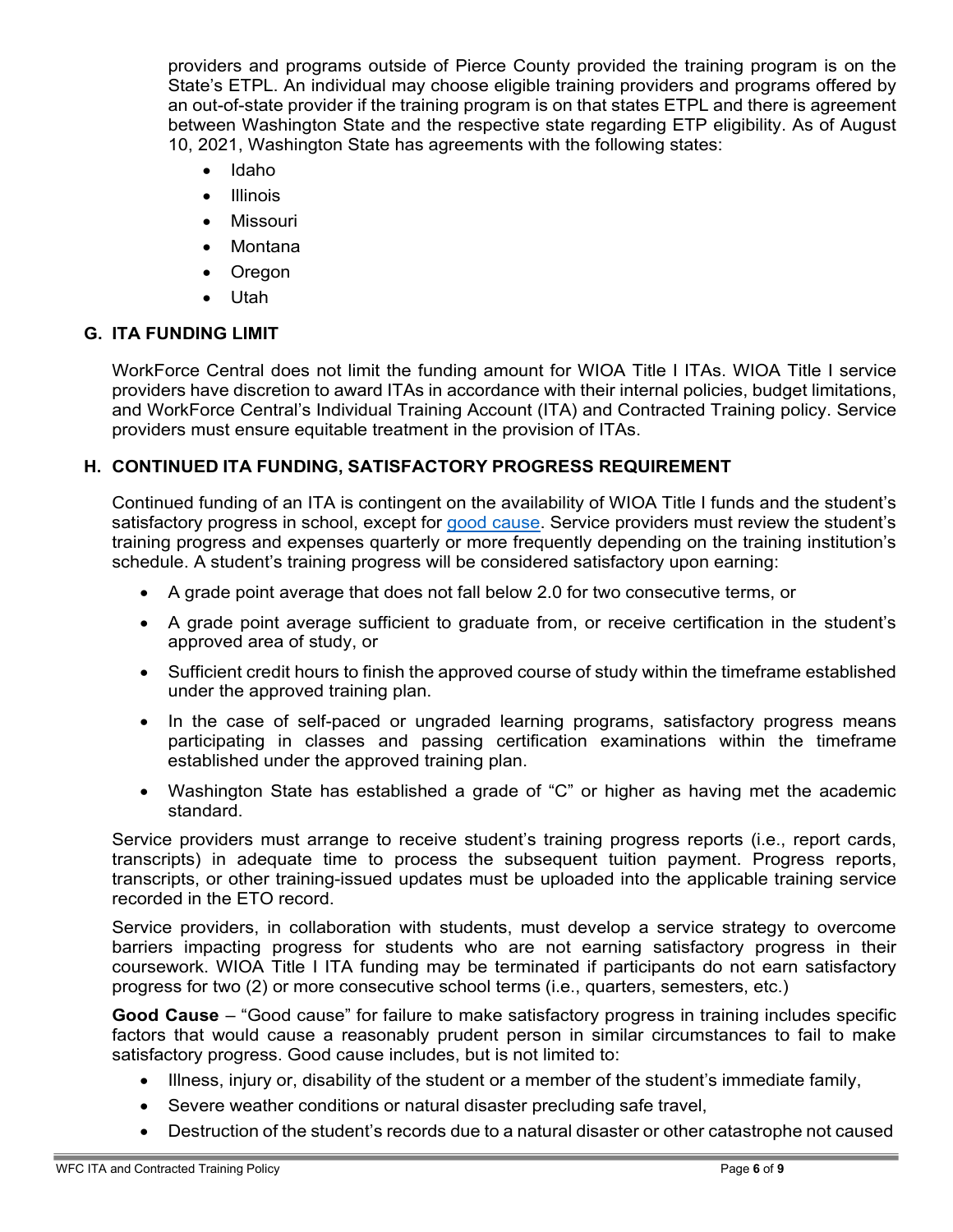<span id="page-5-0"></span>providers and programs outside of Pierce County provided the training program is on the State's ETPL. An individual may choose eligible training providers and programs offered by an out-of-state provider if the training program is on that states ETPL and there is agreement between Washington State and the respective state regarding ETP eligibility. As of August 10, 2021, Washington State has agreements with the following states:

- Idaho
- Illinois
- **Missouri**
- Montana
- Oregon
- Utah

# **G. ITA FUNDING LIMIT**

WorkForce Central does not limit the funding amount for WIOA Title I ITAs. WIOA Title I service providers have discretion to award ITAs in accordance with their internal policies, budget limitations, and WorkForce Central's Individual Training Account (ITA) and Contracted Training policy. Service providers must ensure equitable treatment in the provision of ITAs.

# **H. CONTINUED ITA FUNDING, SATISFACTORY PROGRESS REQUIREMENT**

Continued funding of an ITA is contingent on the availability of WIOA Title I funds and the student's satisfactory progress in school, except for [good](#page-5-0) [cause.](#page-5-1) Service providers must review the student's training progress and expenses quarterly or more frequently depending on the training institution's schedule. A student's training progress will be considered satisfactory upon earning:

- A grade point average that does not fall below 2.0 for two consecutive terms, or
- A grade point average sufficient to graduate from, or receive certification in the student's approved area of study, or
- Sufficient credit hours to finish the approved course of study within the timeframe established under the approved training plan.
- In the case of self-paced or ungraded learning programs, satisfactory progress means participating in classes and passing certification examinations within the timeframe established under the approved training plan.
- Washington State has established a grade of "C" or higher as having met the academic standard.

Service providers must arrange to receive student's training progress reports (i.e., report cards, transcripts) in adequate time to process the subsequent tuition payment. Progress reports, transcripts, or other training-issued updates must be uploaded into the applicable training service recorded in the ETO record.

Service providers, in collaboration with students, must develop a service strategy to overcome barriers impacting progress for students who are not earning satisfactory progress in their coursework. WIOA Title I ITA funding may be terminated if participants do not earn satisfactory progress for two (2) or more consecutive school terms (i.e., quarters, semesters, etc.)

<span id="page-5-1"></span>**Good Cause** – "Good cause" for failure to make satisfactory progress in training includes specific factors that would cause a reasonably prudent person in similar circumstances to fail to make satisfactory progress. Good cause includes, but is not limited to:

- Illness, injury or, disability of the student or a member of the student's immediate family,
- Severe weather conditions or natural disaster precluding safe travel,
- Destruction of the student's records due to a natural disaster or other catastrophe not caused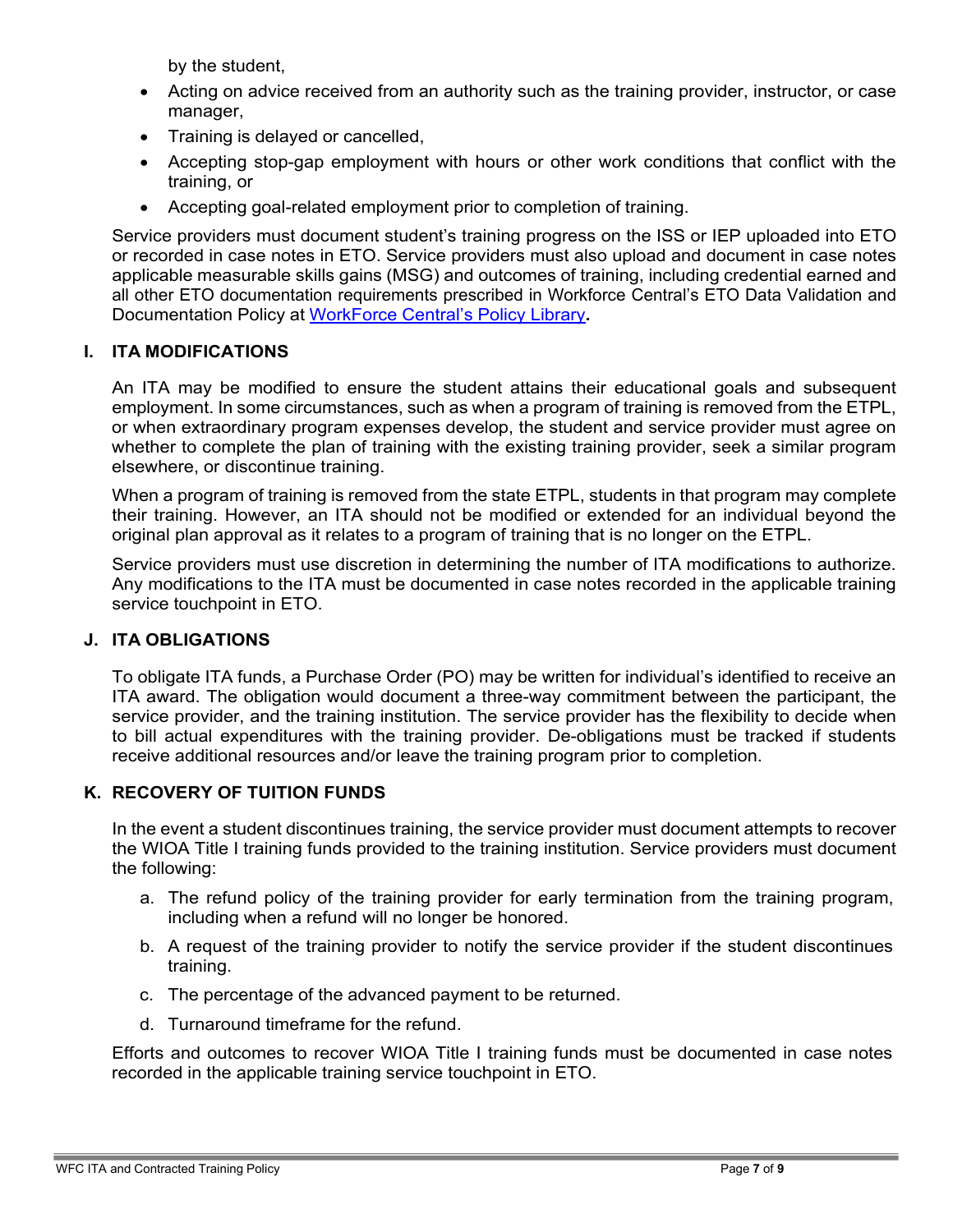by the student,

- Acting on advice received from an authority such as the training provider, instructor, or case manager,
- Training is delayed or cancelled,
- Accepting stop-gap employment with hours or other work conditions that conflict with the training, or
- Accepting goal-related employment prior to completion of training.

Service providers must document student's training progress on the ISS or IEP uploaded into ETO or recorded in case notes in ETO. Service providers must also upload and document in case notes applicable measurable skills gains (MSG) and outcomes of training, including credential earned and all other ETO documentation requirements prescribed in Workforce Central's ETO Data Validation and Documentation Policy at [WorkForce](https://workforce-central.org/about/policies/) Central's Policy Library**.**

# **I. ITA MODIFICATIONS**

An ITA may be modified to ensure the student attains their educational goals and subsequent employment. In some circumstances, such as when a program of training is removed from the ETPL, or when extraordinary program expenses develop, the student and service provider must agree on whether to complete the plan of training with the existing training provider, seek a similar program elsewhere, or discontinue training.

When a program of training is removed from the state ETPL, students in that program may complete their training. However, an ITA should not be modified or extended for an individual beyond the original plan approval as it relates to a program of training that is no longer on the ETPL.

Service providers must use discretion in determining the number of ITA modifications to authorize. Any modifications to the ITA must be documented in case notes recorded in the applicable training service touchpoint in ETO.

# **J. ITA OBLIGATIONS**

To obligate ITA funds, a Purchase Order (PO) may be written for individual's identified to receive an ITA award. The obligation would document a three-way commitment between the participant, the service provider, and the training institution. The service provider has the flexibility to decide when to bill actual expenditures with the training provider. De-obligations must be tracked if students receive additional resources and/or leave the training program prior to completion.

# **K. RECOVERY OF TUITION FUNDS**

In the event a student discontinues training, the service provider must document attempts to recover the WIOA Title I training funds provided to the training institution. Service providers must document the following:

- a. The refund policy of the training provider for early termination from the training program, including when a refund will no longer be honored.
- b. A request of the training provider to notify the service provider if the student discontinues training.
- c. The percentage of the advanced payment to be returned.
- d. Turnaround timeframe for the refund.

Efforts and outcomes to recover WIOA Title I training funds must be documented in case notes recorded in the applicable training service touchpoint in ETO.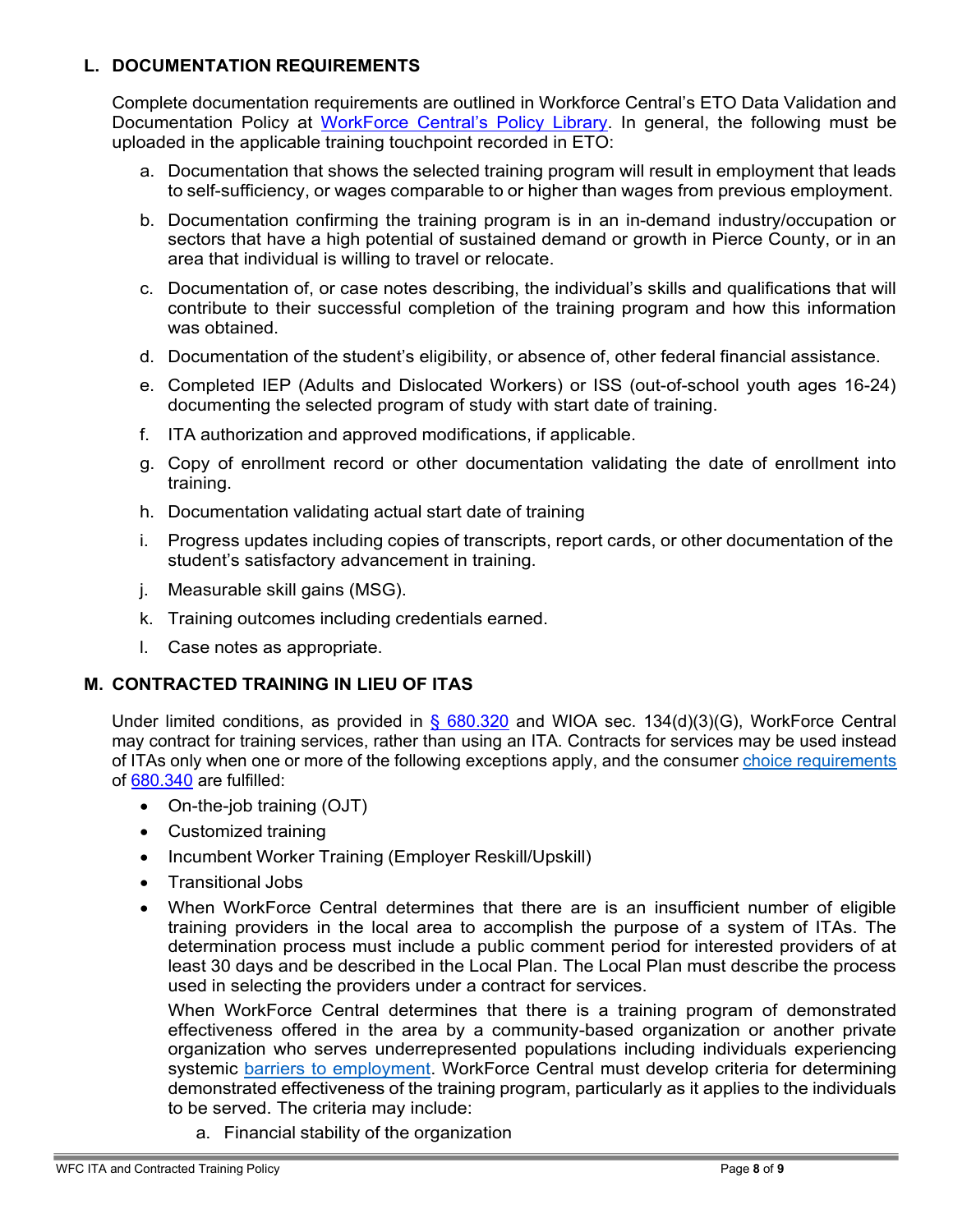#### <span id="page-7-0"></span>**L. DOCUMENTATION REQUIREMENTS**

Complete documentation requirements are outlined in Workforce Central's ETO Data Validation and Documentation Policy at [WorkForce Central's Policy Library.](https://workforce-central.org/about/policies/) In general, the following must be uploaded in the applicable training touchpoint recorded in ETO:

- a. Documentation that shows the selected training program will result in employment that leads to self-sufficiency, or wages comparable to or higher than wages from previous employment.
- b. Documentation confirming the training program is in an in-demand industry/occupation or sectors that have a high potential of sustained demand or growth in Pierce County, or in an area that individual is willing to travel or relocate.
- c. Documentation of, or case notes describing, the individual's skills and qualifications that will contribute to their successful completion of the training program and how this information was obtained.
- d. Documentation of the student's eligibility, or absence of, other federal financial assistance.
- e. Completed IEP (Adults and Dislocated Workers) or ISS (out-of-school youth ages 16-24) documenting the selected program of study with start date of training.
- f. ITA authorization and approved modifications, if applicable.
- g. Copy of enrollment record or other documentation validating the date of enrollment into training.
- h. Documentation validating actual start date of training
- i. Progress updates including copies of transcripts, report cards, or other documentation of the student's satisfactory advancement in training.
- j. Measurable skill gains (MSG).
- k. Training outcomes including credentials earned.
- l. Case notes as appropriate.

# **M. CONTRACTED TRAINING IN LIEU OF ITAS**

Under limited conditions, as provided in [§ 680.320](https://www.ecfr.gov/current/title-20/section-680.320) and WIOA sec. 134(d)(3)(G), WorkForce Central may contract for training services, rather than using an ITA. Contracts for services may be used instead of ITAs only when one or more of the following exceptions apply, and the consumer [ch](#page-4-0)oice [requirements](#page-4-1) of [680.340](https://www.ecfr.gov/current/title-20/chapter-V/part-680/subpart-C/section-680.340) are fulfilled:

- On-the-job training (OJT)
- Customized training
- Incumbent Worker Training (Employer Reskill/Upskill)
- Transitional Jobs
- When WorkForce Central determines that there are is an insufficient number of eligible training providers in the local area to accomplish the purpose of a system of ITAs. The determination process must include a public comment period for interested providers of at least 30 days and be described in the Local Plan. The Local Plan must describe the process used in selecting the providers under a contract for services.

When WorkForce Central determines that there is a training program of demonstrated effectiveness offered in the area by a community-based organization or another private organization who serves underrepresented populations including individuals experiencing systemic [barriers to employment.](https://workforce-central.org/wp-content/uploads/2021/12/individuals-with-a-barrier-to-employment-attachment141.pdf) WorkForce Central must develop criteria for determining demonstrated effectiveness of the training program, particularly as it applies to the individuals to be served. The criteria may include:

a. Financial stability of the organization